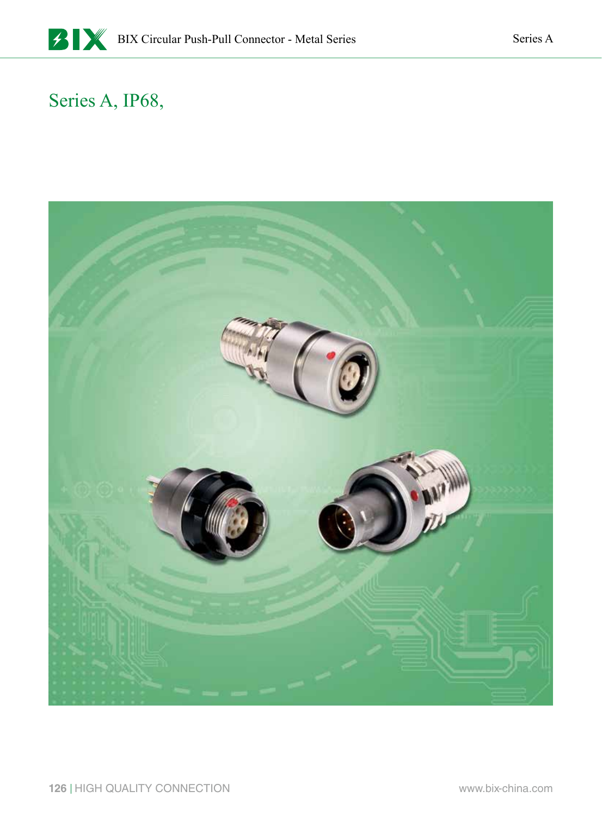#### Series A, IP68,

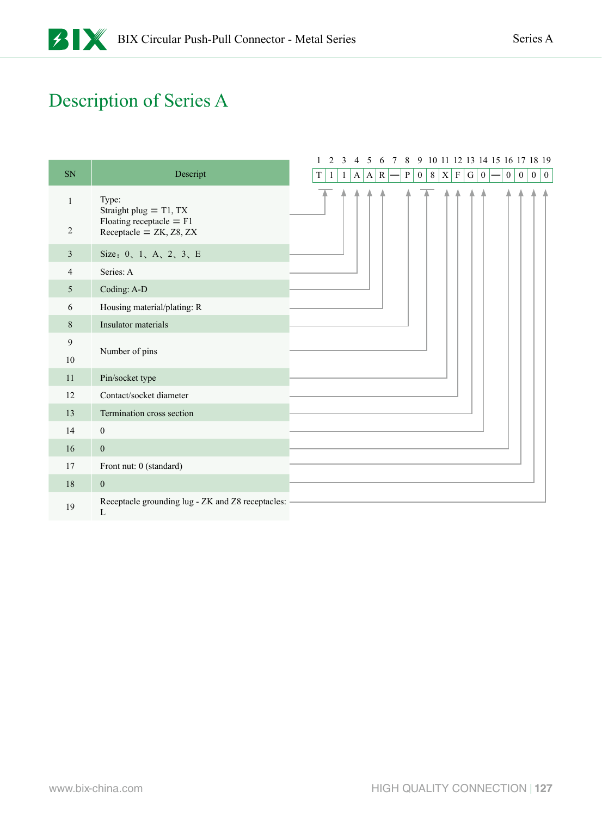### Description of Series A

|                |                                                               | 2                | 3       | 4 | 5 | 6         | $7\phantom{.0}$ | 8            |                |         |   |             |                 |                  | 9 10 11 12 13 14 15 16 17 18 19 |                 |                  |              |                  |
|----------------|---------------------------------------------------------------|------------------|---------|---|---|-----------|-----------------|--------------|----------------|---------|---|-------------|-----------------|------------------|---------------------------------|-----------------|------------------|--------------|------------------|
| SN             | Descript                                                      | $\mathbf T$<br>1 | $\perp$ | A | A | ${\bf R}$ |                 | $\, {\bf P}$ | $\overline{0}$ | $\,8\,$ | X | $\mathbf F$ | $\vert G \vert$ | $\boldsymbol{0}$ |                                 | $\vert 0 \vert$ | $\boldsymbol{0}$ | $\mathbf{0}$ | $\boldsymbol{0}$ |
| 1              | Type:<br>Straight plug $=$ T1, TX                             |                  |         |   |   |           |                 |              |                |         |   |             |                 |                  |                                 |                 |                  |              |                  |
| $\overline{2}$ | Floating receptacle $=$ F1<br>Receptacle = $ZK$ , $Z8$ , $ZX$ |                  |         |   |   |           |                 |              |                |         |   |             |                 |                  |                                 |                 |                  |              |                  |
| 3              | Size: 0, 1, A, 2, 3, E<br>Series: A<br>Coding: A-D            |                  |         |   |   |           |                 |              |                |         |   |             |                 |                  |                                 |                 |                  |              |                  |
| 4              |                                                               |                  |         |   |   |           |                 |              |                |         |   |             |                 |                  |                                 |                 |                  |              |                  |
| 5              |                                                               |                  |         |   |   |           |                 |              |                |         |   |             |                 |                  |                                 |                 |                  |              |                  |
| 6              | Housing material/plating: R                                   |                  |         |   |   |           |                 |              |                |         |   |             |                 |                  |                                 |                 |                  |              |                  |
| $8\,$          | Insulator materials                                           |                  |         |   |   |           |                 |              |                |         |   |             |                 |                  |                                 |                 |                  |              |                  |
| 9              |                                                               |                  |         |   |   |           |                 |              |                |         |   |             |                 |                  |                                 |                 |                  |              |                  |
| 10             | Number of pins                                                |                  |         |   |   |           |                 |              |                |         |   |             |                 |                  |                                 |                 |                  |              |                  |
| 11             | Pin/socket type                                               |                  |         |   |   |           |                 |              |                |         |   |             |                 |                  |                                 |                 |                  |              |                  |
| 12             | Contact/socket diameter                                       |                  |         |   |   |           |                 |              |                |         |   |             |                 |                  |                                 |                 |                  |              |                  |
| 13             | Termination cross section                                     |                  |         |   |   |           |                 |              |                |         |   |             |                 |                  |                                 |                 |                  |              |                  |
| 14             | $\boldsymbol{0}$                                              |                  |         |   |   |           |                 |              |                |         |   |             |                 |                  |                                 |                 |                  |              |                  |
| 16             | $\boldsymbol{0}$                                              |                  |         |   |   |           |                 |              |                |         |   |             |                 |                  |                                 |                 |                  |              |                  |
| 17             | Front nut: 0 (standard)                                       |                  |         |   |   |           |                 |              |                |         |   |             |                 |                  |                                 |                 |                  |              |                  |
| 18             | $\mathbf{0}$                                                  |                  |         |   |   |           |                 |              |                |         |   |             |                 |                  |                                 |                 |                  |              |                  |
| 19             | Receptacle grounding lug - ZK and Z8 receptacles:<br>L        |                  |         |   |   |           |                 |              |                |         |   |             |                 |                  |                                 |                 |                  |              |                  |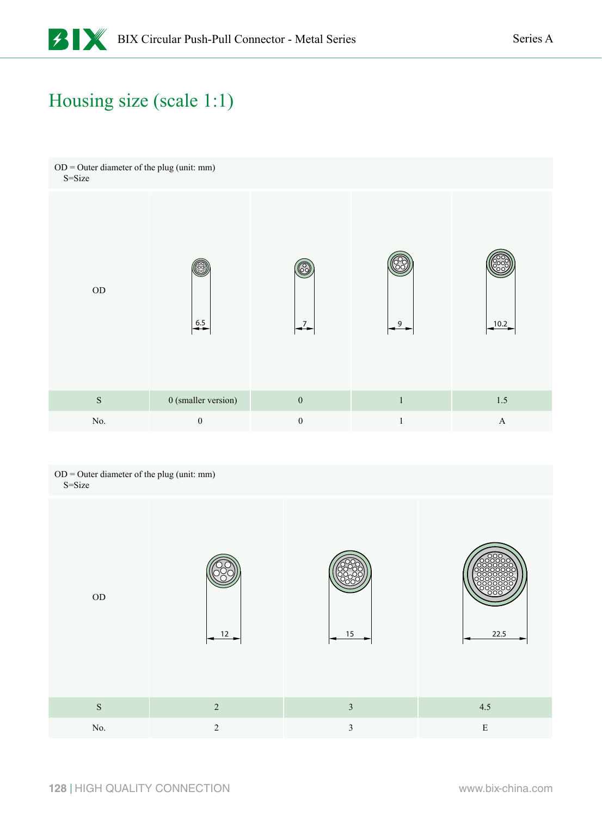#### Housing size (scale 1:1)



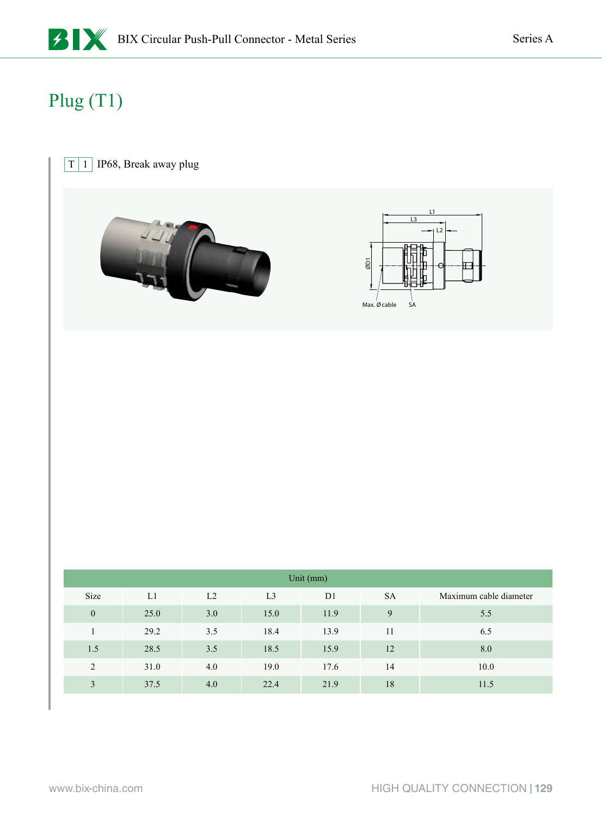# Plug (T1)

#### $\boxed{T}$  1 IP68, Break away plug





|              | Unit (mm) |     |                |                |           |                        |  |  |  |  |  |  |  |  |  |
|--------------|-----------|-----|----------------|----------------|-----------|------------------------|--|--|--|--|--|--|--|--|--|
| Size         | L1        | L2  | L <sub>3</sub> | D <sub>1</sub> | <b>SA</b> | Maximum cable diameter |  |  |  |  |  |  |  |  |  |
| $\mathbf{0}$ | 25.0      | 3.0 | 15.0           | 11.9           | 9         | 5.5                    |  |  |  |  |  |  |  |  |  |
|              | 29.2      | 3.5 | 18.4           | 13.9           | 11        | 6.5                    |  |  |  |  |  |  |  |  |  |
| 1.5          | 28.5      | 3.5 | 18.5           | 15.9           | 12        | 8.0                    |  |  |  |  |  |  |  |  |  |
| 2            | 31.0      | 4.0 | 19.0           | 17.6           | 14        | 10.0                   |  |  |  |  |  |  |  |  |  |
| 3            | 37.5      | 4.0 | 22.4           | 21.9           | 18        | 11.5                   |  |  |  |  |  |  |  |  |  |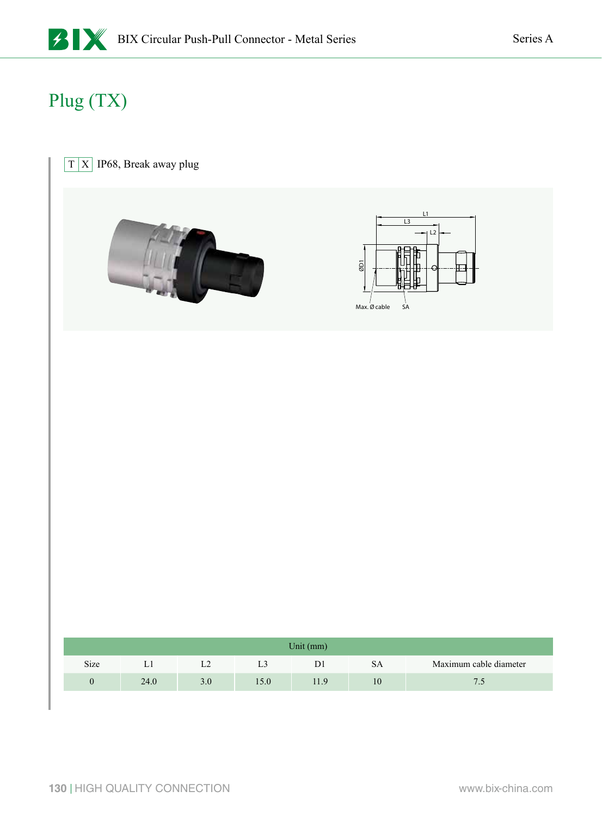# Plug (TX)

#### $\boxed{T} \boxed{X}$  IP68, Break away plug





| Unit $(mm)$ |      |     |      |                |           |                        |  |  |  |  |  |  |
|-------------|------|-----|------|----------------|-----------|------------------------|--|--|--|--|--|--|
| Size        | L1   | L2  |      | D <sub>1</sub> | <b>SA</b> | Maximum cable diameter |  |  |  |  |  |  |
|             | 24.0 | 3.0 | 15.0 | 11.9           | 10        | 7.5                    |  |  |  |  |  |  |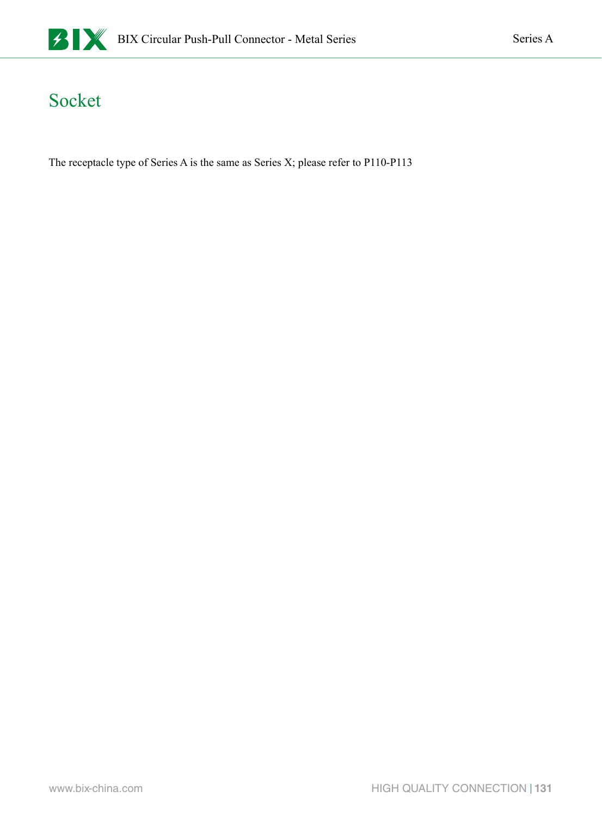

#### Socket

The receptacle type of Series A is the same as Series X; please refer to P110-P113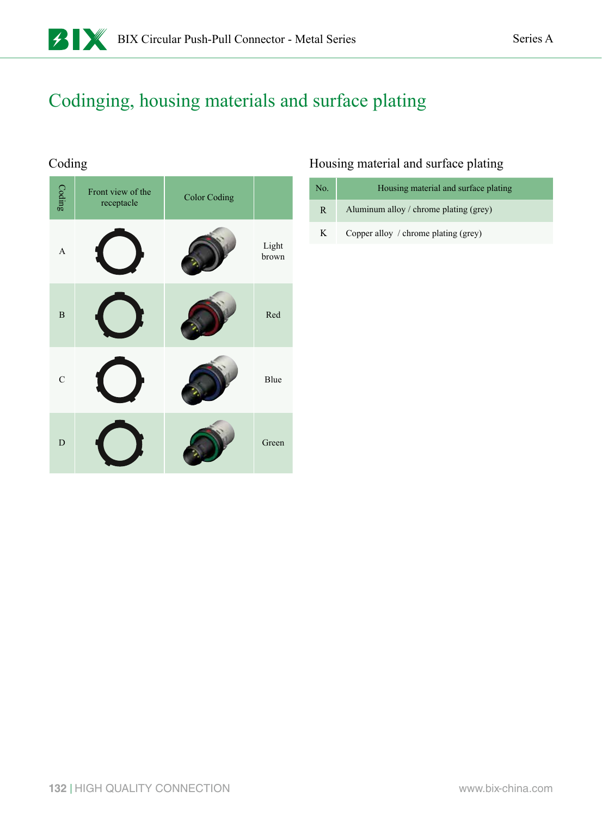### Codinging, housing materials and surface plating

#### Coding

| Coding         | Front view of the<br>receptacle | <b>Color Coding</b> |                |
|----------------|---------------------------------|---------------------|----------------|
| $\overline{A}$ |                                 |                     | Light<br>brown |
| $\, {\bf B}$   |                                 |                     | Red            |
| $\mathbf C$    |                                 |                     | Blue           |
| $\mathbf D$    |                                 |                     | Green          |

#### Housing material and surface plating

| No. | Housing material and surface plating   |
|-----|----------------------------------------|
| R.  | Aluminum alloy / chrome plating (grey) |
| K   | Copper alloy / chrome plating (grey)   |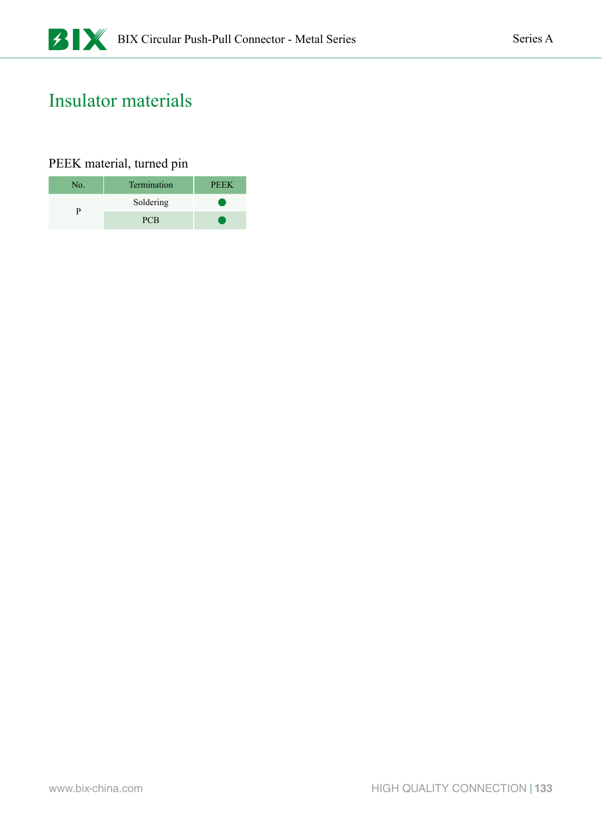#### Insulator materials

#### PEEK material, turned pin

| No. | Termination | <b>PEEK</b> |
|-----|-------------|-------------|
|     | Soldering   |             |
|     | <b>PCB</b>  |             |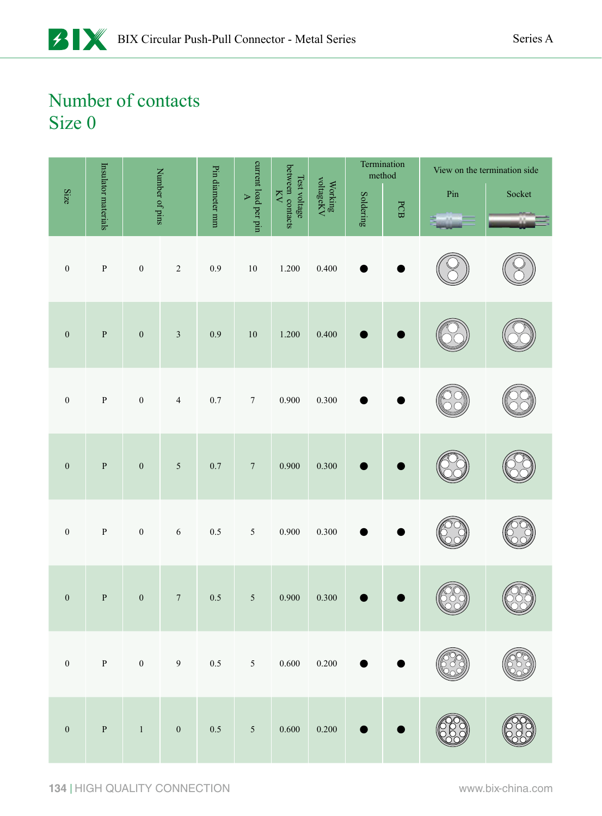|                  |                     |                  |                  |                 |                                               |                                               |                                                                   |           |     |     | Termination<br>method |  | View on the termination side |
|------------------|---------------------|------------------|------------------|-----------------|-----------------------------------------------|-----------------------------------------------|-------------------------------------------------------------------|-----------|-----|-----|-----------------------|--|------------------------------|
| Size             | Insulator materials |                  | Number of pins   | Pin diameter mm | current load per pin<br>$\blacktriangleright$ | between contacts<br>Test voltage<br>$\rm{KN}$ | $\begin{array}{c} \rm{Working} \\ \rm{voltag} \rm{V} \end{array}$ | Soldering | PCB | Pin | Socket                |  |                              |
| $\boldsymbol{0}$ | ${\bf P}$           | $\boldsymbol{0}$ | $\overline{c}$   | 0.9             | $10\,$                                        | 1.200                                         | 0.400                                                             |           |     |     |                       |  |                              |
| $\boldsymbol{0}$ | $\mathbf P$         | $\boldsymbol{0}$ | $\mathfrak z$    | 0.9             | $10\,$                                        | 1.200                                         | 0.400                                                             |           |     |     |                       |  |                              |
| $\boldsymbol{0}$ | ${\bf P}$           | $\boldsymbol{0}$ | $\overline{4}$   | 0.7             | $\boldsymbol{7}$                              | 0.900                                         | 0.300                                                             |           |     |     |                       |  |                              |
| $\boldsymbol{0}$ | $\, {\bf P}$        | $\boldsymbol{0}$ | $\sqrt{5}$       | 0.7             | $\boldsymbol{7}$                              | 0.900                                         | 0.300                                                             |           |     |     |                       |  |                              |
| $\boldsymbol{0}$ | ${\bf P}$           | $\boldsymbol{0}$ | $\sqrt{6}$       | $0.5\,$         | $\sqrt{5}$                                    | 0.900                                         | 0.300                                                             |           |     |     |                       |  |                              |
| $\boldsymbol{0}$ | $\, {\bf P}$        | $\boldsymbol{0}$ | $\boldsymbol{7}$ | 0.5             | $\sqrt{5}$                                    | 0.900                                         | 0.300                                                             |           |     |     |                       |  |                              |
| $\boldsymbol{0}$ | $\, {\bf p}$        | $\boldsymbol{0}$ | 9                | 0.5             | $5^{\circ}$                                   | 0.600                                         | $0.200\,$                                                         |           |     |     |                       |  |                              |
| $\boldsymbol{0}$ | $\mathbf{P}$        | $\,1\,$          | $\boldsymbol{0}$ | $0.5\,$         | $\sqrt{5}$                                    | 0.600                                         | 0.200                                                             |           |     |     |                       |  |                              |

**134** HIGH QUALITY CONNECTION www.bix-china.com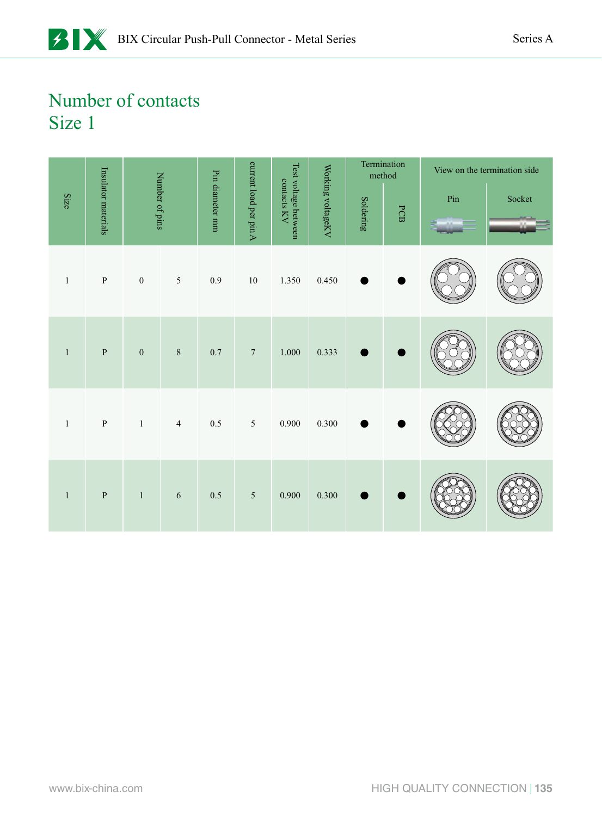|              |                     |                  |                |                 |                        |                                     |                   |           | Termination<br>method |     | View on the termination side |
|--------------|---------------------|------------------|----------------|-----------------|------------------------|-------------------------------------|-------------------|-----------|-----------------------|-----|------------------------------|
| Size         | Insulator materials |                  | Number of pins | Pin diameter mm | current load per pin A | Test voltage between<br>contacts KV | Working voltageKV | Soldering | PCB                   | Pin | Socket                       |
| $\,1\,$      | ${\bf P}$           | $\boldsymbol{0}$ | $\sqrt{5}$     | $0.9\,$         | $10\,$                 | 1.350                               | 0.450             |           |                       |     |                              |
| $\mathbf{1}$ | $\mathbf{P}$        | $\boldsymbol{0}$ | $\,8\,$        | $0.7\,$         | $\sqrt{ }$             | $1.000\,$                           | 0.333             |           |                       |     |                              |
| $1\,$        | $\, {\bf p}$        | $\,1\,$          | $\overline{4}$ | 0.5             | $\sqrt{5}$             | $0.900\,$                           | 0.300             |           |                       |     |                              |
| $\mathbf{1}$ | $\, {\bf p}$        | $\mathbf{1}$     | 6              | $0.5\,$         | $\sqrt{5}$             | 0.900                               | $0.300\,$         |           |                       |     |                              |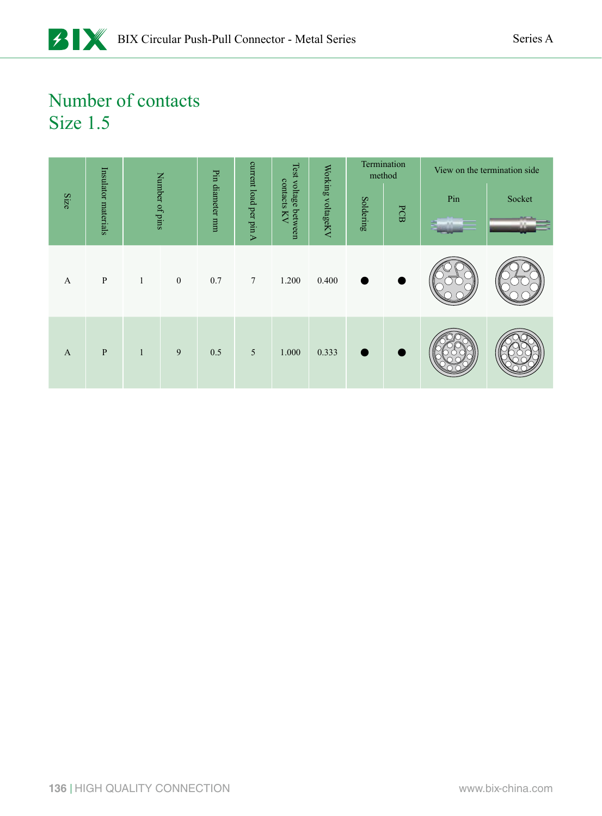|              |                     |              |                  | Pin         |                        |                                           |                   |           | Termination<br>method |     | View on the termination side |
|--------------|---------------------|--------------|------------------|-------------|------------------------|-------------------------------------------|-------------------|-----------|-----------------------|-----|------------------------------|
| Size         | Insulator materials |              | Number of pins   | diameter mm | current load per pin A | Test voltage<br>contacts<br>KV<br>between | Working voltageKV | Soldering | PCB                   | Pin | Socket                       |
| A            | $\, {\bf P}$        | $\mathbf{1}$ | $\boldsymbol{0}$ | 0.7         | $7\phantom{.0}$        | 1.200                                     | 0.400             | ٠         | ٠                     |     |                              |
| $\mathbf{A}$ | $\mathbf{P}$        | $\mathbf{1}$ | 9                | 0.5         | 5                      | 1.000                                     | 0.333             |           |                       |     |                              |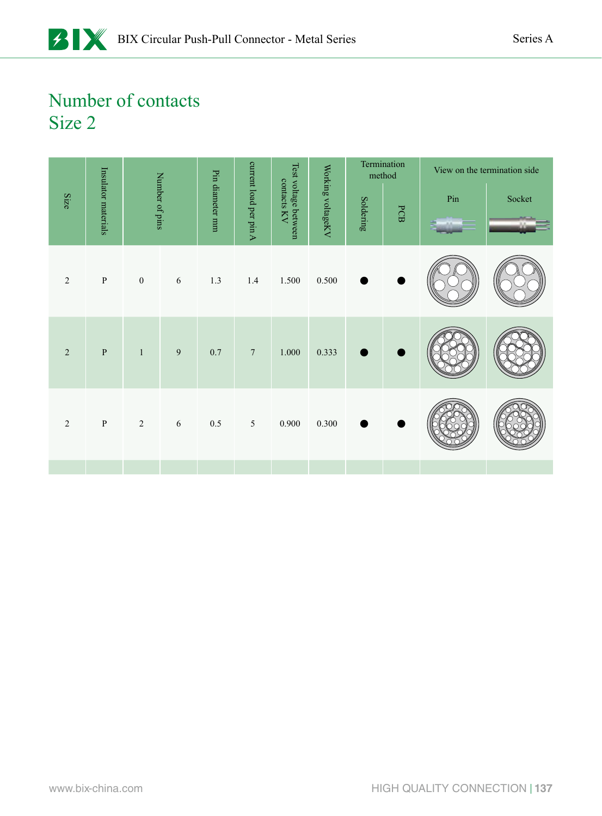|                |                     |              |                |                 |                        |                                     |                   |           | Termination<br>method |                         | View on the termination side |
|----------------|---------------------|--------------|----------------|-----------------|------------------------|-------------------------------------|-------------------|-----------|-----------------------|-------------------------|------------------------------|
| Size           | Insulator materials |              | Number of pins | Pin diameter mm | current load per pin A | Test voltage between<br>contacts KV | Working voltageKV | Soldering | PCB                   | $\mathop{\mathrm{Pin}}$ | Socket                       |
|                |                     |              |                |                 |                        |                                     |                   |           |                       |                         |                              |
| $\overline{2}$ | $\, {\bf P}$        | $\mathbf{0}$ | $\sqrt{6}$     | 1.3             | $1.4$                  | 1.500                               | 0.500             |           |                       |                         |                              |
| $\overline{2}$ | $\, {\bf p}$        | $\mathbf{1}$ | $\overline{9}$ | 0.7             | $\boldsymbol{7}$       | 1.000                               | 0.333             |           |                       |                         |                              |
|                |                     |              |                |                 |                        |                                     |                   |           |                       |                         |                              |
| $\overline{2}$ | ${\bf P}$           | $\sqrt{2}$   | $\sqrt{6}$     | $0.5\,$         | $\sqrt{5}$             | 0.900                               | 0.300             |           |                       |                         |                              |
|                |                     |              |                |                 |                        |                                     |                   |           |                       |                         |                              |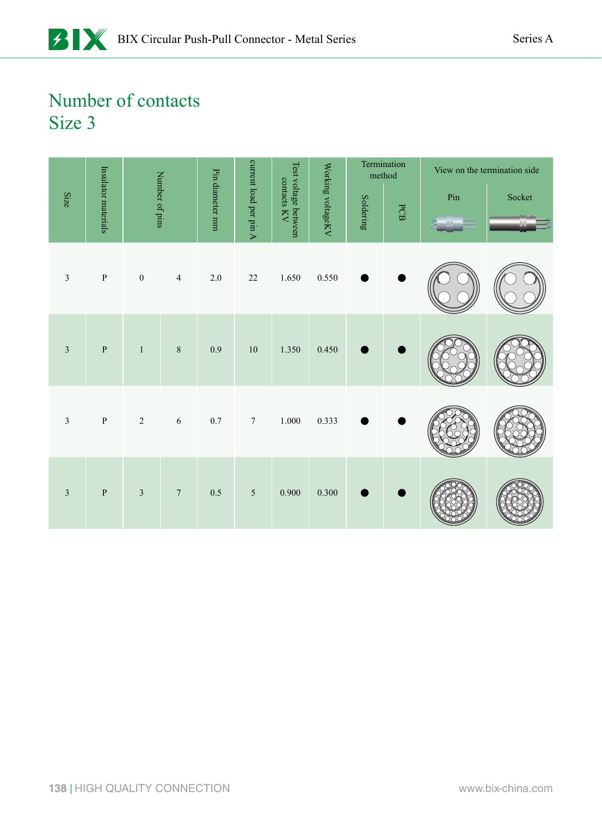|                         |                     |                  |                  |                 |                        |                                     |                   |           | Termination<br>method |                         | View on the termination side |
|-------------------------|---------------------|------------------|------------------|-----------------|------------------------|-------------------------------------|-------------------|-----------|-----------------------|-------------------------|------------------------------|
| Size                    | Insulator materials | Number of pins   |                  | Pin diameter mm | current load per pin A | Test voltage between<br>contacts KV | Working voltageKV | Soldering | PCB                   | $\mathop{\mathrm{Pin}}$ | Socket                       |
| $\mathfrak{Z}$          | $\, {\bf p}$        | $\boldsymbol{0}$ | $\overline{4}$   | $2.0\,$         | $22\,$                 | $1.650\,$                           | 0.550             |           |                       |                         |                              |
| $\overline{3}$          | $\, {\bf p}$        | $\mathbf{1}$     | $\, 8$           | 0.9             | $10\,$                 | 1.350                               | 0.450             |           |                       |                         |                              |
| $\overline{\mathbf{3}}$ | ${\bf P}$           | $\sqrt{2}$       | $\sqrt{6}$       | $0.7\,$         | $\boldsymbol{7}$       | $1.000\,$                           | 0.333             |           |                       |                         |                              |
| $\overline{3}$          | ${\bf P}$           | $\mathfrak{Z}$   | $\boldsymbol{7}$ | $0.5\,$         | $\sqrt{5}$             | 0.900                               | 0.300             |           |                       |                         |                              |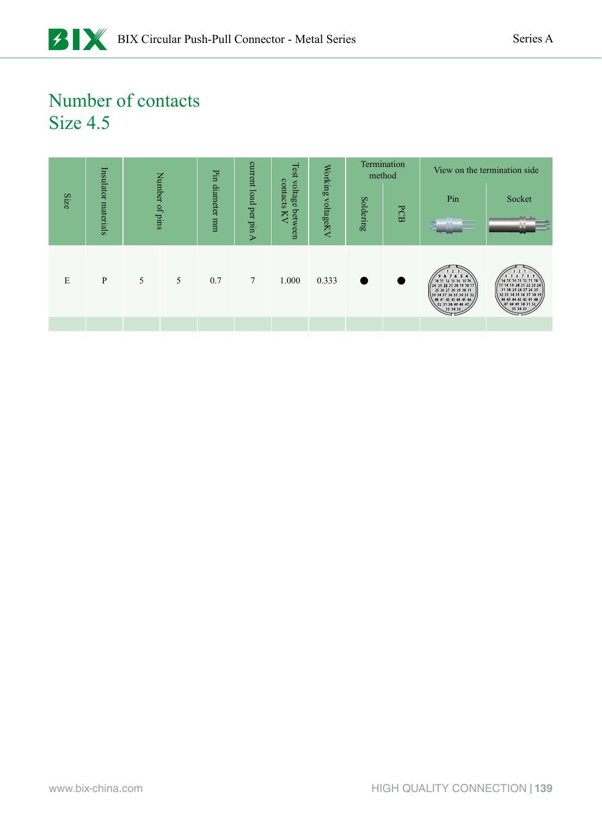|      |                     |   |                | Ы'n      | current        | Test                | Working   |           | Termination<br>method |                                                                                                                                                                                                                                                    | View on the termination side.                                                                                                                                                        |
|------|---------------------|---|----------------|----------|----------------|---------------------|-----------|-----------|-----------------------|----------------------------------------------------------------------------------------------------------------------------------------------------------------------------------------------------------------------------------------------------|--------------------------------------------------------------------------------------------------------------------------------------------------------------------------------------|
| Size |                     |   | Number of pins | diameter |                | contacts<br>voltage |           |           |                       | Pin                                                                                                                                                                                                                                                | Socket                                                                                                                                                                               |
|      | Insulator materials |   |                | uuu      | load per pin A | between<br>Ŋ        | voltageKV | Soldering | PCB                   |                                                                                                                                                                                                                                                    |                                                                                                                                                                                      |
| E    | P                   | 5 | 5              | 0.7      | 7              | 1.000               | 0.333     |           |                       | 123<br>987654<br>$\begin{pmatrix} 10 & 11 & 12 & 13 & 14 & 15 & 16 \\ 24 & 23 & 22 & 21 & 20 & 19 & 18 & 17 \\ 25 & 26 & 27 & 28 & 29 & 30 & 31 \end{pmatrix}$<br>39 38 37 36 35 34 33 32<br>40 41 42 43 44 45 46<br>52 51 50 49 48 47<br>53 54 55 | $\sim$ 2<br>5 6 7 8 9<br>16 15 14 13 12 11 10<br>17 18 19 20 21 22 23 24<br>31 30 29 28 27 26 25<br>32 33 34 35 36 37 38 39<br>46 45 44 43 42 41 40<br>47 48 49 50 51 52<br>55 54 53 |
|      |                     |   |                |          |                |                     |           |           |                       |                                                                                                                                                                                                                                                    |                                                                                                                                                                                      |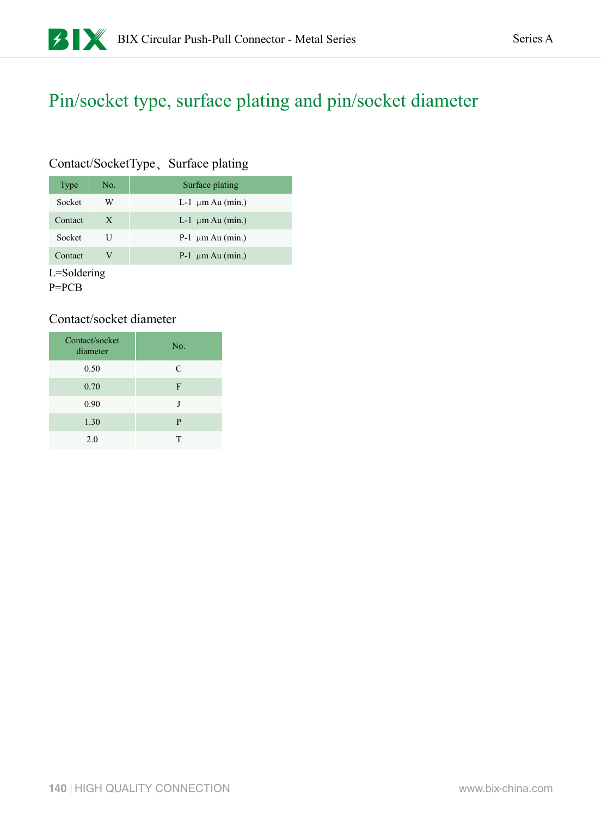#### Pin/socket type, surface plating and pin/socket diameter

#### Contact/SocketType、Surface plating

| Type    | No. | Surface plating        |
|---------|-----|------------------------|
| Socket  | W   | L-1 $\mu$ m Au (min.)  |
| Contact | X   | L-1 $\mu$ m Au (min.)  |
| Socket  | U   | $P-1 \mu m A u (min.)$ |
| Contact | V   | $P-1 \mu m A u (min.)$ |

L=Soldering

P=PCB

#### Contact/socket diameter

| Contact/socket<br>diameter | No. |
|----------------------------|-----|
| 0.50                       | C   |
| 0.70                       | F   |
| 0.90                       | J   |
| 1.30                       | P   |
| 2.0                        | т   |